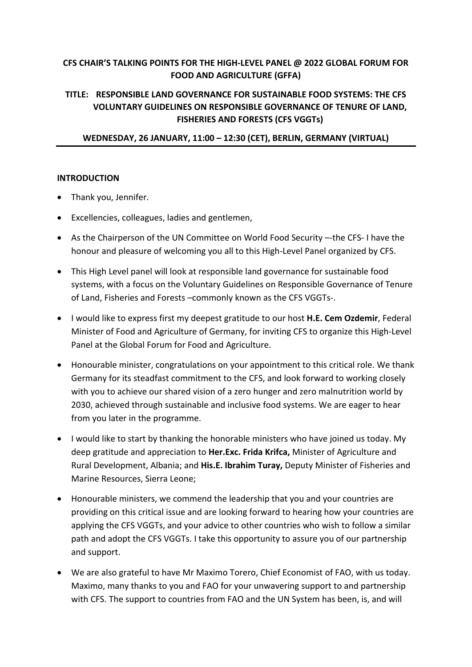# **CFS CHAIR'S TALKING POINTS FOR THE HIGH-LEVEL PANEL @ 2022 GLOBAL FORUM FOR FOOD AND AGRICULTURE (GFFA)**

# **TITLE: RESPONSIBLE LAND GOVERNANCE FOR SUSTAINABLE FOOD SYSTEMS: THE CFS VOLUNTARY GUIDELINES ON RESPONSIBLE GOVERNANCE OF TENURE OF LAND, FISHERIES AND FORESTS (CFS VGGTs)**

**WEDNESDAY, 26 JANUARY, 11:00 – 12:30 (CET), BERLIN, GERMANY (VIRTUAL)**

#### **INTRODUCTION**

- Thank you, Jennifer.
- Excellencies, colleagues, ladies and gentlemen,
- As the Chairperson of the UN Committee on World Food Security –-the CFS- I have the honour and pleasure of welcoming you all to this High-Level Panel organized by CFS.
- This High Level panel will look at responsible land governance for sustainable food systems, with a focus on the Voluntary Guidelines on Responsible Governance of Tenure of Land, Fisheries and Forests –commonly known as the CFS VGGTs-.
- I would like to express first my deepest gratitude to our host **H.E. Cem Ozdemir**, Federal Minister of Food and Agriculture of Germany, for inviting CFS to organize this High-Level Panel at the Global Forum for Food and Agriculture.
- Honourable minister, congratulations on your appointment to this critical role. We thank Germany for its steadfast commitment to the CFS, and look forward to working closely with you to achieve our shared vision of a zero hunger and zero malnutrition world by 2030, achieved through sustainable and inclusive food systems. We are eager to hear from you later in the programme.
- I would like to start by thanking the honorable ministers who have joined us today. My deep gratitude and appreciation to **Her.Exc. Frida Krifca,** Minister of Agriculture and Rural Development, Albania; and **His.E. Ibrahim Turay,** Deputy Minister of Fisheries and Marine Resources, Sierra Leone;
- Honourable ministers, we commend the leadership that you and your countries are providing on this critical issue and are looking forward to hearing how your countries are applying the CFS VGGTs, and your advice to other countries who wish to follow a similar path and adopt the CFS VGGTs. I take this opportunity to assure you of our partnership and support.
- We are also grateful to have Mr Maximo Torero, Chief Economist of FAO, with us today. Maximo, many thanks to you and FAO for your unwavering support to and partnership with CFS. The support to countries from FAO and the UN System has been, is, and will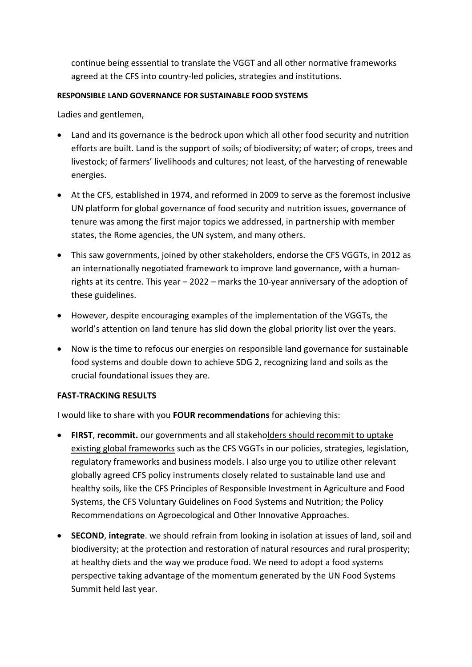continue being esssential to translate the VGGT and all other normative frameworks agreed at the CFS into country-led policies, strategies and institutions.

### **RESPONSIBLE LAND GOVERNANCE FOR SUSTAINABLE FOOD SYSTEMS**

Ladies and gentlemen,

- Land and its governance is the bedrock upon which all other food security and nutrition efforts are built. Land is the support of soils; of biodiversity; of water; of crops, trees and livestock; of farmers' livelihoods and cultures; not least, of the harvesting of renewable energies.
- At the CFS, established in 1974, and reformed in 2009 to serve as the foremost inclusive UN platform for global governance of food security and nutrition issues, governance of tenure was among the first major topics we addressed, in partnership with member states, the Rome agencies, the UN system, and many others.
- This saw governments, joined by other stakeholders, endorse the CFS VGGTs, in 2012 as an internationally negotiated framework to improve land governance, with a humanrights at its centre. This year – 2022 – marks the 10-year anniversary of the adoption of these guidelines.
- However, despite encouraging examples of the implementation of the VGGTs, the world's attention on land tenure has slid down the global priority list over the years.
- Now is the time to refocus our energies on responsible land governance for sustainable food systems and double down to achieve SDG 2, recognizing land and soils as the crucial foundational issues they are.

## **FAST-TRACKING RESULTS**

I would like to share with you **FOUR recommendations** for achieving this:

- **FIRST**, **recommit.** our governments and all stakeholders should recommit to uptake existing global frameworks such as the CFS VGGTs in our policies, strategies, legislation, regulatory frameworks and business models. I also urge you to utilize other relevant globally agreed CFS policy instruments closely related to sustainable land use and healthy soils, like the CFS Principles of Responsible Investment in Agriculture and Food Systems, the CFS Voluntary Guidelines on Food Systems and Nutrition; the Policy Recommendations on Agroecological and Other Innovative Approaches.
- **SECOND**, **integrate**. we should refrain from looking in isolation at issues of land, soil and biodiversity; at the protection and restoration of natural resources and rural prosperity; at healthy diets and the way we produce food. We need to adopt a food systems perspective taking advantage of the momentum generated by the UN Food Systems Summit held last year.